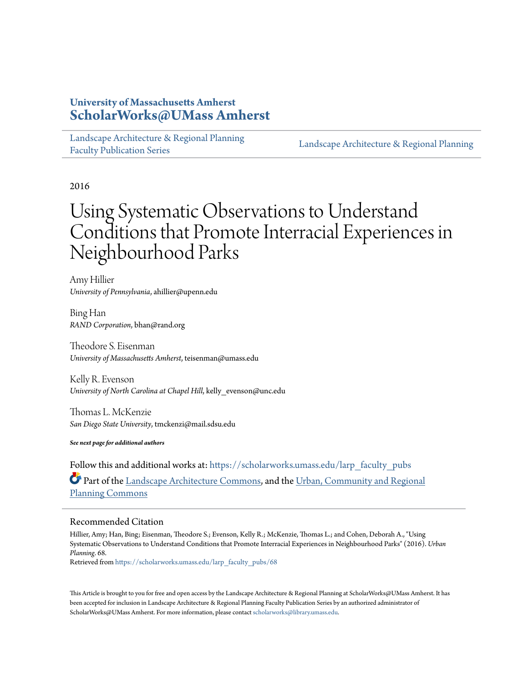# **University of Massachusetts Amherst [ScholarWorks@UMass Amherst](https://scholarworks.umass.edu?utm_source=scholarworks.umass.edu%2Flarp_faculty_pubs%2F68&utm_medium=PDF&utm_campaign=PDFCoverPages)**

[Landscape Architecture & Regional Planning](https://scholarworks.umass.edu/larp_faculty_pubs?utm_source=scholarworks.umass.edu%2Flarp_faculty_pubs%2F68&utm_medium=PDF&utm_campaign=PDFCoverPages) [Faculty Publication Series](https://scholarworks.umass.edu/larp_faculty_pubs?utm_source=scholarworks.umass.edu%2Flarp_faculty_pubs%2F68&utm_medium=PDF&utm_campaign=PDFCoverPages)

[Landscape Architecture & Regional Planning](https://scholarworks.umass.edu/larp?utm_source=scholarworks.umass.edu%2Flarp_faculty_pubs%2F68&utm_medium=PDF&utm_campaign=PDFCoverPages)

2016

# Using Systematic Observations to Understand Conditions that Promote Interracial Experiences in Neighbourhood Parks

Amy Hillier *University of Pennsylvania*, ahillier@upenn.edu

Bing Han *RAND Corporation*, bhan@rand.org

Theodore S. Eisenman *University of Massachusetts Amherst*, teisenman@umass.edu

Kelly R. Evenson *University of North Carolina at Chapel Hill*, kelly\_evenson@unc.edu

Thomas L. McKenzie *San Diego State University*, tmckenzi@mail.sdsu.edu

*See next page for additional authors*

Follow this and additional works at: [https://scholarworks.umass.edu/larp\\_faculty\\_pubs](https://scholarworks.umass.edu/larp_faculty_pubs?utm_source=scholarworks.umass.edu%2Flarp_faculty_pubs%2F68&utm_medium=PDF&utm_campaign=PDFCoverPages) Part of the [Landscape Architecture Commons,](http://network.bepress.com/hgg/discipline/779?utm_source=scholarworks.umass.edu%2Flarp_faculty_pubs%2F68&utm_medium=PDF&utm_campaign=PDFCoverPages) and the [Urban, Community and Regional](http://network.bepress.com/hgg/discipline/776?utm_source=scholarworks.umass.edu%2Flarp_faculty_pubs%2F68&utm_medium=PDF&utm_campaign=PDFCoverPages) [Planning Commons](http://network.bepress.com/hgg/discipline/776?utm_source=scholarworks.umass.edu%2Flarp_faculty_pubs%2F68&utm_medium=PDF&utm_campaign=PDFCoverPages)

# Recommended Citation

Hillier, Amy; Han, Bing; Eisenman, Theodore S.; Evenson, Kelly R.; McKenzie, Thomas L.; and Cohen, Deborah A., "Using Systematic Observations to Understand Conditions that Promote Interracial Experiences in Neighbourhood Parks" (2016). *Urban Planning*. 68.

Retrieved from [https://scholarworks.umass.edu/larp\\_faculty\\_pubs/68](https://scholarworks.umass.edu/larp_faculty_pubs/68?utm_source=scholarworks.umass.edu%2Flarp_faculty_pubs%2F68&utm_medium=PDF&utm_campaign=PDFCoverPages)

This Article is brought to you for free and open access by the Landscape Architecture & Regional Planning at ScholarWorks@UMass Amherst. It has been accepted for inclusion in Landscape Architecture & Regional Planning Faculty Publication Series by an authorized administrator of ScholarWorks@UMass Amherst. For more information, please contact [scholarworks@library.umass.edu.](mailto:scholarworks@library.umass.edu)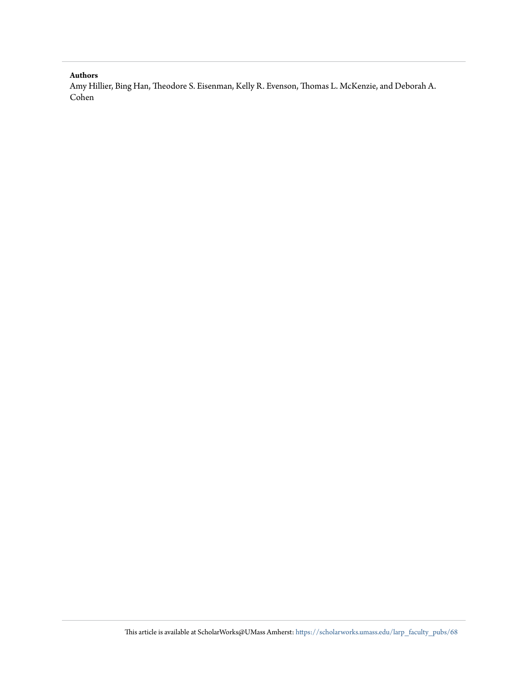#### **Authors**

Amy Hillier, Bing Han, Theodore S. Eisenman, Kelly R. Evenson, Thomas L. McKenzie, and Deborah A. Cohen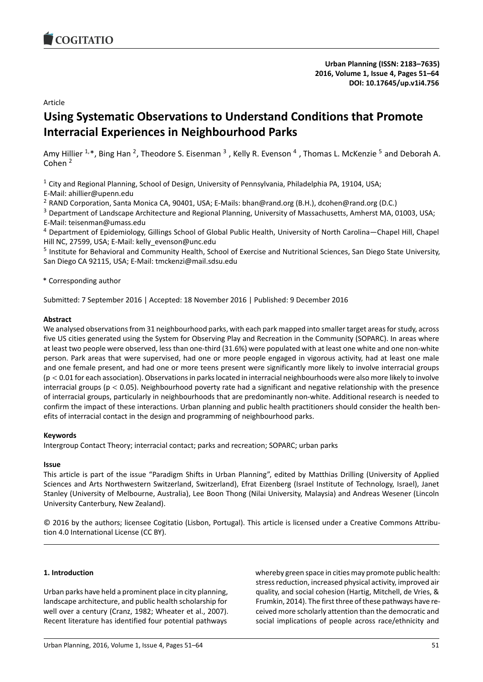<span id="page-2-0"></span>

**Urban Planning (ISSN: 2183–7635) 2016, Volume 1, Issue 4, Pages [51](#page-2-0)[–64](#page-15-0) DOI: 10.17645/up.v1i4.756**

Article

# **Using Systematic Observations to Understand Conditions that Promote Interracial Experiences in Neighbourhood Parks**

Amy Hillier <sup>1,\*</sup>, Bing Han <sup>2</sup>, Theodore S. Eisenman <sup>3</sup> , Kelly R. Evenson <sup>4</sup> , Thomas L. McKenzie <sup>5</sup> and Deborah A. Cohen <sup>2</sup>

 $1$  City and Regional Planning, School of Design, University of Pennsylvania, Philadelphia PA, 19104, USA; E-Mail: ahillier@upenn.edu

<sup>2</sup> RAND Corporation, Santa Monica CA, 90401, USA; E-Mails: bhan@rand.org (B.H.), dcohen@rand.org (D.C.)

<sup>3</sup> Department of Landscape Architecture and Regional Planning, University of Massachusetts, Amherst MA, 01003, USA; E-Mail: teisenman@umass.edu

<sup>4</sup> Department of Epidemiology, Gillings School of Global Public Health, University of North Carolina—Chapel Hill, Chapel Hill NC, 27599, USA; E-Mail: kelly\_evenson@unc.edu

<sup>5</sup> Institute for Behavioral and Community Health, School of Exercise and Nutritional Sciences, San Diego State University, San Diego CA 92115, USA; E-Mail: tmckenzi@mail.sdsu.edu

\* Corresponding author

Submitted: 7 September 2016 | Accepted: 18 November 2016 | Published: 9 December 2016

## **Abstract**

We analysed observations from 31 neighbourhood parks, with each park mapped into smaller target areas for study, across five US cities generated using the System for Observing Play and Recreation in the Community (SOPARC). In areas where at least two people were observed, less than one-third (31.6%) were populated with at least one white and one non-white person. Park areas that were supervised, had one or more people engaged in vigorous activity, had at least one male and one female present, and had one or more teens present were significantly more likely to involve interracial groups  $(p < 0.01$  for each association). Observations in parks located in interracial neighbourhoods were also more likely to involve interracial groups ( $p < 0.05$ ). Neighbourhood poverty rate had a significant and negative relationship with the presence of interracial groups, particularly in neighbourhoods that are predominantly non-white. Additional research is needed to confirm the impact of these interactions. Urban planning and public health practitioners should consider the health benefits of interracial contact in the design and programming of neighbourhood parks.

#### **Keywords**

Intergroup Contact Theory; interracial contact; parks and recreation; SOPARC; urban parks

#### **Issue**

This article is part of the issue "Paradigm Shifts in Urban Planning", edited by Matthias Drilling (University of Applied Sciences and Arts Northwestern Switzerland, Switzerland), Efrat Eizenberg (Israel Institute of Technology, Israel), Janet Stanley (University of Melbourne, Australia), Lee Boon Thong (Nilai University, Malaysia) and Andreas Wesener (Lincoln University Canterbury, New Zealand).

© 2016 by the authors; licensee Cogitatio (Lisbon, Portugal). This article is licensed under a Creative Commons Attribution 4.0 International License (CC BY).

# **1. Introduction**

Urban parks have held a prominent place in city planning, landscape architecture, and public health scholarship for well over a century (Cranz, 1982; Wheater et al., 2007). Recent literature has identified four potential pathways

whereby green space in cities may promote public health: stress reduction, increased physical activity, improved air quality, and social cohesion (Hartig, Mitchell, de Vries, & Frumkin, 2014). The first three of these pathways have received more scholarly attention than the democratic and social implications of people across race/ethnicity and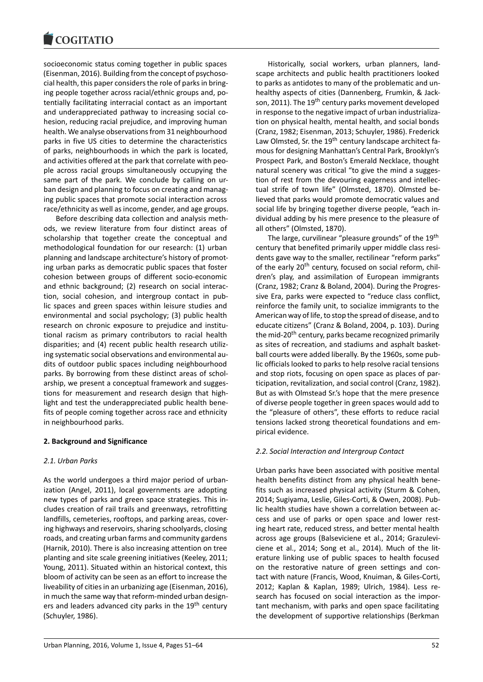socioeconomic status coming together in public spaces (Eisenman, 2016). Building from the concept of psychosocial health, this paper considers the role of parks in bringing people together across racial/ethnic groups and, potentially facilitating interracial contact as an important and underappreciated pathway to increasing social cohesion, reducing racial prejudice, and improving human health. We analyse observations from 31 neighbourhood parks in five US cities to determine the characteristics of parks, neighbourhoods in which the park is located, and activities offered at the park that correlate with people across racial groups simultaneously occupying the same part of the park. We conclude by calling on urban design and planning to focus on creating and managing public spaces that promote social interaction across race/ethnicity as well as income, gender, and age groups.

Before describing data collection and analysis methods, we review literature from four distinct areas of scholarship that together create the conceptual and methodological foundation for our research: (1) urban planning and landscape architecture's history of promoting urban parks as democratic public spaces that foster cohesion between groups of different socio-economic and ethnic background; (2) research on social interaction, social cohesion, and intergroup contact in public spaces and green spaces within leisure studies and environmental and social psychology; (3) public health research on chronic exposure to prejudice and institutional racism as primary contributors to racial health disparities; and (4) recent public health research utilizing systematic social observations and environmental audits of outdoor public spaces including neighbourhood parks. By borrowing from these distinct areas of scholarship, we present a conceptual framework and suggestions for measurement and research design that highlight and test the underappreciated public health benefits of people coming together across race and ethnicity in neighbourhood parks.

#### **2. Background and Significance**

#### *2.1. Urban Parks*

As the world undergoes a third major period of urbanization (Angel, 2011), local governments are adopting new types of parks and green space strategies. This includes creation of rail trails and greenways, retrofitting landfills, cemeteries, rooftops, and parking areas, covering highways and reservoirs, sharing schoolyards, closing roads, and creating urban farms and community gardens (Harnik, 2010). There is also increasing attention on tree planting and site scale greening initiatives (Keeley, 2011; Young, 2011). Situated within an historical context, this bloom of activity can be seen as an effort to increase the liveability of cities in an urbanizing age (Eisenman, 2016), in much the same way that reform-minded urban designers and leaders advanced city parks in the 19<sup>th</sup> century (Schuyler, 1986).

Historically, social workers, urban planners, landscape architects and public health practitioners looked to parks as antidotes to many of the problematic and unhealthy aspects of cities (Dannenberg, Frumkin, & Jackson, 2011). The 19<sup>th</sup> century parks movement developed in response to the negative impact of urban industrialization on physical health, mental health, and social bonds (Cranz, 1982; Eisenman, 2013; Schuyler, 1986). Frederick Law Olmsted, Sr. the 19<sup>th</sup> century landscape architect famous for designing Manhattan's Central Park, Brooklyn's Prospect Park, and Boston's Emerald Necklace, thought natural scenery was critical "to give the mind a suggestion of rest from the devouring eagerness and intellectual strife of town life" (Olmsted, 1870). Olmsted believed that parks would promote democratic values and social life by bringing together diverse people, "each individual adding by his mere presence to the pleasure of all others" (Olmsted, 1870).

The large, curvilinear "pleasure grounds" of the 19<sup>th</sup> century that benefited primarily upper middle class residents gave way to the smaller, rectilinear "reform parks" of the early 20<sup>th</sup> century, focused on social reform, children's play, and assimilation of European immigrants (Cranz, 1982; Cranz & Boland, 2004). During the Progressive Era, parks were expected to "reduce class conflict, reinforce the family unit, to socialize immigrants to the American way of life, to stop the spread of disease, and to educate citizens" (Cranz & Boland, 2004, p. 103). During the mid-20<sup>th</sup> century, parks became recognized primarily as sites of recreation, and stadiums and asphalt basketball courts were added liberally. By the 1960s, some public officials looked to parks to help resolve racial tensions and stop riots, focusing on open space as places of participation, revitalization, and social control (Cranz, 1982). But as with Olmstead Sr.'s hope that the mere presence of diverse people together in green spaces would add to the "pleasure of others", these efforts to reduce racial tensions lacked strong theoretical foundations and empirical evidence.

#### *2.2. Social Interaction and Intergroup Contact*

Urban parks have been associated with positive mental health benefits distinct from any physical health benefits such as increased physical activity (Sturm & Cohen, 2014; Sugiyama, Leslie, Giles-Corti, & Owen, 2008). Public health studies have shown a correlation between access and use of parks or open space and lower resting heart rate, reduced stress, and better mental health across age groups (Balseviciene et al., 2014; Grazuleviciene et al., 2014; Song et al., 2014). Much of the literature linking use of public spaces to health focused on the restorative nature of green settings and contact with nature (Francis, Wood, Knuiman, & Giles-Corti, 2012; Kaplan & Kaplan, 1989; Ulrich, 1984). Less research has focused on social interaction as the important mechanism, with parks and open space facilitating the development of supportive relationships (Berkman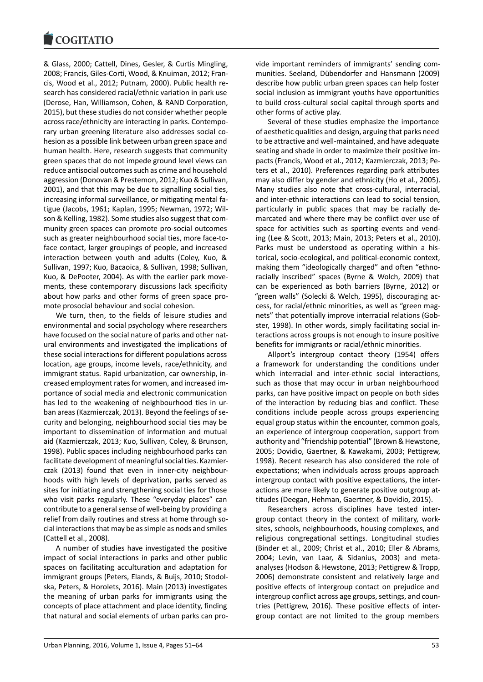& Glass, 2000; Cattell, Dines, Gesler, & Curtis Mingling, 2008; Francis, Giles-Corti, Wood, & Knuiman, 2012; Francis, Wood et al., 2012; Putnam, 2000). Public health research has considered racial/ethnic variation in park use (Derose, Han, Williamson, Cohen, & RAND Corporation, 2015), but these studies do not consider whether people across race/ethnicity are interacting in parks. Contemporary urban greening literature also addresses social cohesion as a possible link between urban green space and human health. Here, research suggests that community green spaces that do not impede ground level views can reduce antisocial outcomes such as crime and household aggression (Donovan & Prestemon, 2012; Kuo & Sullivan, 2001), and that this may be due to signalling social ties, increasing informal surveillance, or mitigating mental fatigue (Jacobs, 1961; Kaplan, 1995; Newman, 1972; Wilson & Kelling, 1982). Some studies also suggest that community green spaces can promote pro-social outcomes such as greater neighbourhood social ties, more face-toface contact, larger groupings of people, and increased interaction between youth and adults (Coley, Kuo, & Sullivan, 1997; Kuo, Bacaoica, & Sullivan, 1998; Sullivan, Kuo, & DePooter, 2004). As with the earlier park movements, these contemporary discussions lack specificity about how parks and other forms of green space promote prosocial behaviour and social cohesion.

We turn, then, to the fields of leisure studies and environmental and social psychology where researchers have focused on the social nature of parks and other natural environments and investigated the implications of these social interactions for different populations across location, age groups, income levels, race/ethnicity, and immigrant status. Rapid urbanization, car ownership, increased employment rates for women, and increased importance of social media and electronic communication has led to the weakening of neighbourhood ties in urban areas (Kazmierczak, 2013). Beyond the feelings of security and belonging, neighbourhood social ties may be important to dissemination of information and mutual aid (Kazmierczak, 2013; Kuo, Sullivan, Coley, & Brunson, 1998). Public spaces including neighbourhood parks can facilitate development of meaningful social ties. Kazmierczak (2013) found that even in inner-city neighbourhoods with high levels of deprivation, parks served as sites for initiating and strengthening social ties for those who visit parks regularly. These "everyday places" can contribute to a general sense of well-being by providing a relief from daily routines and stress at home through social interactions that may be as simple as nods and smiles (Cattell et al., 2008).

A number of studies have investigated the positive impact of social interactions in parks and other public spaces on facilitating acculturation and adaptation for immigrant groups (Peters, Elands, & Buijs, 2010; Stodolska, Peters, & Horolets, 2016). Main (2013) investigates the meaning of urban parks for immigrants using the concepts of place attachment and place identity, finding that natural and social elements of urban parks can provide important reminders of immigrants' sending communities. Seeland, Dübendorfer and Hansmann (2009) describe how public urban green spaces can help foster social inclusion as immigrant youths have opportunities to build cross-cultural social capital through sports and other forms of active play.

Several of these studies emphasize the importance of aesthetic qualities and design, arguing that parks need to be attractive and well-maintained, and have adequate seating and shade in order to maximize their positive impacts (Francis, Wood et al., 2012; Kazmierczak, 2013; Peters et al., 2010). Preferences regarding park attributes may also differ by gender and ethnicity (Ho et al., 2005). Many studies also note that cross-cultural, interracial, and inter-ethnic interactions can lead to social tension, particularly in public spaces that may be racially demarcated and where there may be conflict over use of space for activities such as sporting events and vending (Lee & Scott, 2013; Main, 2013; Peters et al., 2010). Parks must be understood as operating within a historical, socio-ecological, and political-economic context, making them "ideologically charged" and often "ethnoracially inscribed" spaces (Byrne & Wolch, 2009) that can be experienced as both barriers (Byrne, 2012) or "green walls" (Solecki & Welch, 1995), discouraging access, for racial/ethnic minorities, as well as "green magnets" that potentially improve interracial relations (Gobster, 1998). In other words, simply facilitating social interactions across groups is not enough to insure positive benefits for immigrants or racial/ethnic minorities.

Allport's intergroup contact theory (1954) offers a framework for understanding the conditions under which interracial and inter-ethnic social interactions, such as those that may occur in urban neighbourhood parks, can have positive impact on people on both sides of the interaction by reducing bias and conflict. These conditions include people across groups experiencing equal group status within the encounter, common goals, an experience of intergroup cooperation, support from authority and "friendship potential" (Brown & Hewstone, 2005; Dovidio, Gaertner, & Kawakami, 2003; Pettigrew, 1998). Recent research has also considered the role of expectations; when individuals across groups approach intergroup contact with positive expectations, the interactions are more likely to generate positive outgroup attitudes (Deegan, Hehman, Gaertner, & Dovidio, 2015).

Researchers across disciplines have tested intergroup contact theory in the context of military, worksites, schools, neighbourhoods, housing complexes, and religious congregational settings. Longitudinal studies (Binder et al., 2009; Christ et al., 2010; Eller & Abrams, 2004; Levin, van Laar, & Sidanius, 2003) and metaanalyses (Hodson & Hewstone, 2013; Pettigrew & Tropp, 2006) demonstrate consistent and relatively large and positive effects of intergroup contact on prejudice and intergroup conflict across age groups, settings, and countries (Pettigrew, 2016). These positive effects of intergroup contact are not limited to the group members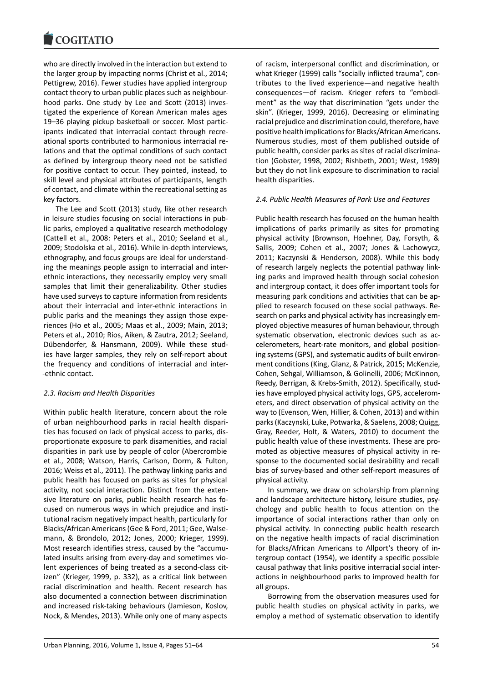who are directly involved in the interaction but extend to the larger group by impacting norms (Christ et al., 2014; Pettigrew, 2016). Fewer studies have applied intergroup contact theory to urban public places such as neighbourhood parks. One study by Lee and Scott (2013) investigated the experience of Korean American males ages 19–36 playing pickup basketball or soccer. Most participants indicated that interracial contact through recreational sports contributed to harmonious interracial relations and that the optimal conditions of such contact as defined by intergroup theory need not be satisfied for positive contact to occur. They pointed, instead, to skill level and physical attributes of participants, length of contact, and climate within the recreational setting as key factors.

The Lee and Scott (2013) study, like other research in leisure studies focusing on social interactions in public parks, employed a qualitative research methodology (Cattell et al., 2008: Peters et al., 2010; Seeland et al., 2009; Stodolska et al., 2016). While in-depth interviews, ethnography, and focus groups are ideal for understanding the meanings people assign to interracial and interethnic interactions, they necessarily employ very small samples that limit their generalizability. Other studies have used surveys to capture information from residents about their interracial and inter-ethnic interactions in public parks and the meanings they assign those experiences (Ho et al., 2005; Maas et al., 2009; Main, 2013; Peters et al., 2010; Rios, Aiken, & Zautra, 2012; Seeland, Dübendorfer, & Hansmann, 2009). While these studies have larger samples, they rely on self-report about the frequency and conditions of interracial and inter- -ethnic contact.

#### *2.3. Racism and Health Disparities*

Within public health literature, concern about the role of urban neighbourhood parks in racial health disparities has focused on lack of physical access to parks, disproportionate exposure to park disamenities, and racial disparities in park use by people of color (Abercrombie et al., 2008; Watson, Harris, Carlson, Dorm, & Fulton, 2016; Weiss et al., 2011). The pathway linking parks and public health has focused on parks as sites for physical activity, not social interaction. Distinct from the extensive literature on parks, public health research has focused on numerous ways in which prejudice and institutional racism negatively impact health, particularly for Blacks/African Americans (Gee & Ford, 2011; Gee, Walsemann, & Brondolo, 2012; Jones, 2000; Krieger, 1999). Most research identifies stress, caused by the "accumulated insults arising from every-day and sometimes violent experiences of being treated as a second-class citizen" (Krieger, 1999, p. 332), as a critical link between racial discrimination and health. Recent research has also documented a connection between discrimination and increased risk-taking behaviours (Jamieson, Koslov, Nock, & Mendes, 2013). While only one of many aspects

of racism, interpersonal conflict and discrimination, or what Krieger (1999) calls "socially inflicted trauma", contributes to the lived experience—and negative health consequences—of racism. Krieger refers to "embodiment" as the way that discrimination "gets under the skin". (Krieger, 1999, 2016). Decreasing or eliminating racial prejudice and discrimination could, therefore, have positive health implications for Blacks/African Americans. Numerous studies, most of them published outside of public health, consider parks as sites of racial discrimination (Gobster, 1998, 2002; Rishbeth, 2001; West, 1989) but they do not link exposure to discrimination to racial health disparities.

#### *2.4. Public Health Measures of Park Use and Features*

Public health research has focused on the human health implications of parks primarily as sites for promoting physical activity (Brownson, Hoehner, Day, Forsyth, & Sallis, 2009; Cohen et al., 2007; Jones & Lachowycz, 2011; Kaczynski & Henderson, 2008). While this body of research largely neglects the potential pathway linking parks and improved health through social cohesion and intergroup contact, it does offer important tools for measuring park conditions and activities that can be applied to research focused on these social pathways. Research on parks and physical activity has increasingly employed objective measures of human behaviour, through systematic observation, electronic devices such as accelerometers, heart-rate monitors, and global positioning systems (GPS), and systematic audits of built environment conditions (King, Glanz, & Patrick, 2015; McKenzie, Cohen, Sehgal, Williamson, & Golinelli, 2006; McKinnon, Reedy, Berrigan, & Krebs-Smith, 2012). Specifically, studies have employed physical activity logs, GPS, accelerometers, and direct observation of physical activity on the way to (Evenson, Wen, Hillier, & Cohen, 2013) and within parks (Kaczynski, Luke, Potwarka, & Saelens, 2008; Quigg, Gray, Reeder, Holt, & Waters, 2010) to document the public health value of these investments. These are promoted as objective measures of physical activity in response to the documented social desirability and recall bias of survey-based and other self-report measures of physical activity.

In summary, we draw on scholarship from planning and landscape architecture history, leisure studies, psychology and public health to focus attention on the importance of social interactions rather than only on physical activity. In connecting public health research on the negative health impacts of racial discrimination for Blacks/African Americans to Allport's theory of intergroup contact (1954), we identify a specific possible causal pathway that links positive interracial social interactions in neighbourhood parks to improved health for all groups.

Borrowing from the observation measures used for public health studies on physical activity in parks, we employ a method of systematic observation to identify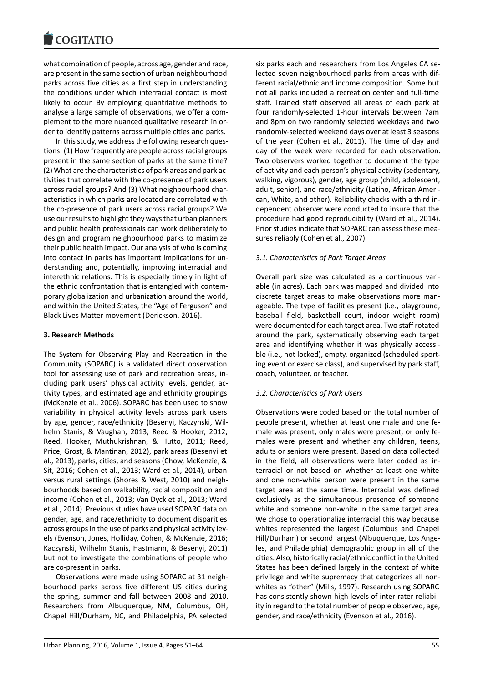what combination of people, across age, gender and race, are present in the same section of urban neighbourhood parks across five cities as a first step in understanding the conditions under which interracial contact is most likely to occur. By employing quantitative methods to analyse a large sample of observations, we offer a complement to the more nuanced qualitative research in order to identify patterns across multiple cities and parks.

In this study, we address the following research questions: (1) How frequently are people across racial groups present in the same section of parks at the same time? (2) What are the characteristics of park areas and park activities that correlate with the co-presence of park users across racial groups? And (3) What neighbourhood characteristics in which parks are located are correlated with the co-presence of park users across racial groups? We use our results to highlight they ways that urban planners and public health professionals can work deliberately to design and program neighbourhood parks to maximize their public health impact. Our analysis of who is coming into contact in parks has important implications for understanding and, potentially, improving interracial and interethnic relations. This is especially timely in light of the ethnic confrontation that is entangled with contemporary globalization and urbanization around the world, and within the United States, the "Age of Ferguson" and Black Lives Matter movement (Derickson, 2016).

#### **3. Research Methods**

The System for Observing Play and Recreation in the Community (SOPARC) is a validated direct observation tool for assessing use of park and recreation areas, including park users' physical activity levels, gender, activity types, and estimated age and ethnicity groupings (McKenzie et al., 2006). SOPARC has been used to show variability in physical activity levels across park users by age, gender, race/ethnicity (Besenyi, Kaczynski, Wilhelm Stanis, & Vaughan, 2013; Reed & Hooker, 2012; Reed, Hooker, Muthukrishnan, & Hutto, 2011; Reed, Price, Grost, & Mantinan, 2012), park areas (Besenyi et al., 2013), parks, cities, and seasons (Chow, McKenzie, & Sit, 2016; Cohen et al., 2013; Ward et al., 2014), urban versus rural settings (Shores & West, 2010) and neighbourhoods based on walkability, racial composition and income (Cohen et al., 2013; Van Dyck et al., 2013; Ward et al., 2014). Previous studies have used SOPARC data on gender, age, and race/ethnicity to document disparities across groups in the use of parks and physical activity levels (Evenson, Jones, Holliday, Cohen, & McKenzie, 2016; Kaczynski, Wilhelm Stanis, Hastmann, & Besenyi, 2011) but not to investigate the combinations of people who are co-present in parks.

Observations were made using SOPARC at 31 neighbourhood parks across five different US cities during the spring, summer and fall between 2008 and 2010. Researchers from Albuquerque, NM, Columbus, OH, Chapel Hill/Durham, NC, and Philadelphia, PA selected

six parks each and researchers from Los Angeles CA selected seven neighbourhood parks from areas with different racial/ethnic and income composition. Some but not all parks included a recreation center and full-time staff. Trained staff observed all areas of each park at four randomly-selected 1-hour intervals between 7am and 8pm on two randomly selected weekdays and two randomly-selected weekend days over at least 3 seasons of the year (Cohen et al., 2011). The time of day and day of the week were recorded for each observation. Two observers worked together to document the type of activity and each person's physical activity (sedentary, walking, vigorous), gender, age group (child, adolescent, adult, senior), and race/ethnicity (Latino, African American, White, and other). Reliability checks with a third independent observer were conducted to insure that the procedure had good reproducibility (Ward et al., 2014). Prior studies indicate that SOPARC can assess these measures reliably (Cohen et al., 2007).

# *3.1. Characteristics of Park Target Areas*

Overall park size was calculated as a continuous variable (in acres). Each park was mapped and divided into discrete target areas to make observations more manageable. The type of facilities present (i.e., playground, baseball field, basketball court, indoor weight room) were documented for each target area. Two staff rotated around the park, systematically observing each target area and identifying whether it was physically accessible (i.e., not locked), empty, organized (scheduled sporting event or exercise class), and supervised by park staff, coach, volunteer, or teacher.

# *3.2. Characteristics of Park Users*

Observations were coded based on the total number of people present, whether at least one male and one female was present, only males were present, or only females were present and whether any children, teens, adults or seniors were present. Based on data collected in the field, all observations were later coded as interracial or not based on whether at least one white and one non-white person were present in the same target area at the same time. Interracial was defined exclusively as the simultaneous presence of someone white and someone non-white in the same target area. We chose to operationalize interracial this way because whites represented the largest (Columbus and Chapel Hill/Durham) or second largest (Albuquerque, Los Angeles, and Philadelphia) demographic group in all of the cities. Also, historically racial/ethnic conflict in the United States has been defined largely in the context of white privilege and white supremacy that categorizes all nonwhites as "other" (Mills, 1997). Research using SOPARC has consistently shown high levels of inter-rater reliability in regard to the total number of people observed, age, gender, and race/ethnicity (Evenson et al., 2016).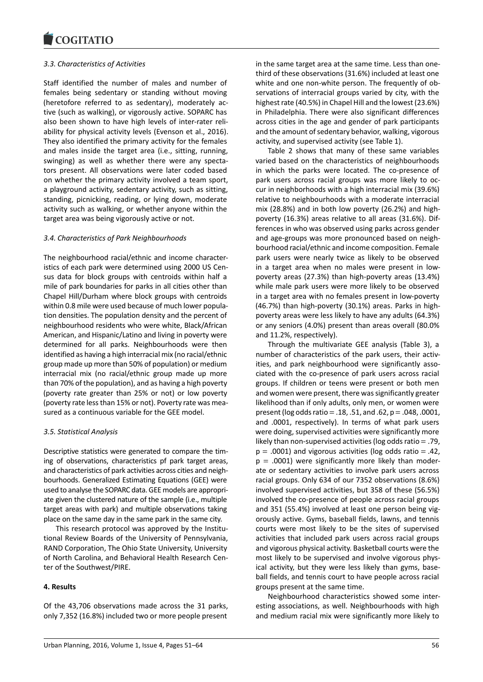## *3.3. Characteristics of Activities*

Staff identified the number of males and number of females being sedentary or standing without moving (heretofore referred to as sedentary), moderately active (such as walking), or vigorously active. SOPARC has also been shown to have high levels of inter-rater reliability for physical activity levels (Evenson et al., 2016). They also identified the primary activity for the females and males inside the target area (i.e., sitting, running, swinging) as well as whether there were any spectators present. All observations were later coded based on whether the primary activity involved a team sport, a playground activity, sedentary activity, such as sitting, standing, picnicking, reading, or lying down, moderate activity such as walking, or whether anyone within the target area was being vigorously active or not.

## *3.4. Characteristics of Park Neighbourhoods*

The neighbourhood racial/ethnic and income characteristics of each park were determined using 2000 US Census data for block groups with centroids within half a mile of park boundaries for parks in all cities other than Chapel Hill/Durham where block groups with centroids within 0.8 mile were used because of much lower population densities. The population density and the percent of neighbourhood residents who were white, Black/African American, and Hispanic/Latino and living in poverty were determined for all parks. Neighbourhoods were then identified as having a high interracial mix (no racial/ethnic group made up more than 50% of population) or medium interracial mix (no racial/ethnic group made up more than 70% of the population), and as having a high poverty (poverty rate greater than 25% or not) or low poverty (poverty rate less than 15% or not). Poverty rate was measured as a continuous variable for the GEE model.

#### *3.5. Statistical Analysis*

Descriptive statistics were generated to compare the timing of observations, characteristics pf park target areas, and characteristics of park activities across cities and neighbourhoods. Generalized Estimating Equations (GEE) were used to analyse the SOPARC data. GEE models are appropriate given the clustered nature of the sample (i.e., multiple target areas with park) and multiple observations taking place on the same day in the same park in the same city.

This research protocol was approved by the Institutional Review Boards of the University of Pennsylvania, RAND Corporation, The Ohio State University, University of North Carolina, and Behavioral Health Research Center of the Southwest/PIRE.

# **4. Results**

Of the 43,706 observations made across the 31 parks, only 7,352 (16.8%) included two or more people present

in the same target area at the same time. Less than onethird of these observations (31.6%) included at least one white and one non-white person. The frequently of observations of interracial groups varied by city, with the highest rate (40.5%) in Chapel Hill and the lowest (23.6%) in Philadelphia. There were also significant differences across cities in the age and gender of park participants and the amount of sedentary behavior, walking, vigorous activity, and supervised activity (see Table 1).

Table 2 shows that many of these same variables varied based on the characteristics of neighbourhoods in which the parks were located. The co-presence of park users across racial groups was more likely to occur in neighborhoods with a high interracial mix (39.6%) relative to neighbourhoods with a moderate interracial mix (28.8%) and in both low poverty (26.2%) and highpoverty (16.3%) areas relative to all areas (31.6%). Differences in who was observed using parks across gender and age-groups was more pronounced based on neighbourhood racial/ethnic and income composition. Female park users were nearly twice as likely to be observed in a target area when no males were present in lowpoverty areas (27.3%) than high-poverty areas (13.4%) while male park users were more likely to be observed in a target area with no females present in low-poverty (46.7%) than high-poverty (30.1%) areas. Parks in highpoverty areas were less likely to have any adults (64.3%) or any seniors (4.0%) present than areas overall (80.0% and 11.2%, respectively).

Through the multivariate GEE analysis (Table 3), a number of characteristics of the park users, their activities, and park neighbourhood were significantly associated with the co-presence of park users across racial groups. If children or teens were present or both men and women were present, there was significantly greater likelihood than if only adults, only men, or women were present (log odds ratio = .18, .51, and .62,  $p = .048, .0001$ , and .0001, respectively). In terms of what park users were doing, supervised activities were significantly more likely than non-supervised activities (log odds ratio  $= .79$ .  $p = .0001$ ) and vigorous activities (log odds ratio = .42,  $p = .0001$ ) were significantly more likely than moderate or sedentary activities to involve park users across racial groups. Only 634 of our 7352 observations (8.6%) involved supervised activities, but 358 of these (56.5%) involved the co-presence of people across racial groups and 351 (55.4%) involved at least one person being vigorously active. Gyms, baseball fields, lawns, and tennis courts were most likely to be the sites of supervised activities that included park users across racial groups and vigorous physical activity. Basketball courts were the most likely to be supervised and involve vigorous physical activity, but they were less likely than gyms, baseball fields, and tennis court to have people across racial groups present at the same time.

Neighbourhood characteristics showed some interesting associations, as well. Neighbourhoods with high and medium racial mix were significantly more likely to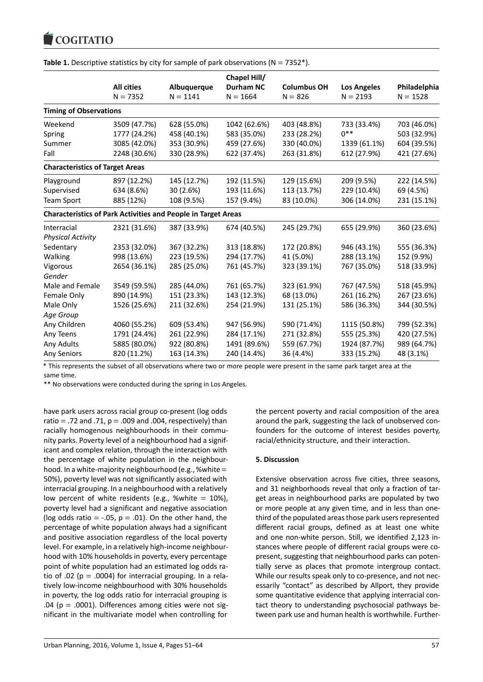|                                                                      |                   |             | Chapel Hill/     |                    |                    |              |
|----------------------------------------------------------------------|-------------------|-------------|------------------|--------------------|--------------------|--------------|
|                                                                      | <b>All cities</b> | Albuquerque | <b>Durham NC</b> | <b>Columbus OH</b> | <b>Los Angeles</b> | Philadelphia |
|                                                                      | $N = 7352$        | $N = 1141$  | $N = 1664$       | $N = 826$          | $N = 2193$         | $N = 1528$   |
| <b>Timing of Observations</b>                                        |                   |             |                  |                    |                    |              |
| Weekend                                                              | 3509 (47.7%)      | 628 (55.0%) | 1042 (62.6%)     | 403 (48.8%)        | 733 (33.4%)        | 703 (46.0%)  |
| Spring                                                               | 1777 (24.2%)      | 458 (40.1%) | 583 (35.0%)      | 233 (28.2%)        | $0***$             | 503 (32.9%)  |
| Summer                                                               | 3085 (42.0%)      | 353 (30.9%) | 459 (27.6%)      | 330 (40.0%)        | 1339 (61.1%)       | 604 (39.5%)  |
| Fall                                                                 | 2248 (30.6%)      | 330 (28.9%) | 622 (37.4%)      | 263 (31.8%)        | 612 (27.9%)        | 421 (27.6%)  |
| <b>Characteristics of Target Areas</b>                               |                   |             |                  |                    |                    |              |
| Playground                                                           | 897 (12.2%)       | 145 (12.7%) | 192 (11.5%)      | 129 (15.6%)        | 209 (9.5%)         | 222 (14.5%)  |
| Supervised                                                           | 634 (8.6%)        | 30 (2.6%)   | 193 (11.6%)      | 113 (13.7%)        | 229 (10.4%)        | 69 (4.5%)    |
| <b>Team Sport</b>                                                    | 885 (12%)         | 108 (9.5%)  | 157 (9.4%)       | 83 (10.0%)         | 306 (14.0%)        | 231 (15.1%)  |
| <b>Characteristics of Park Activities and People in Target Areas</b> |                   |             |                  |                    |                    |              |
| Interracial                                                          | 2321 (31.6%)      | 387 (33.9%) | 674 (40.5%)      | 245 (29.7%)        | 655 (29.9%)        | 360 (23.6%)  |
| <b>Physical Activity</b>                                             |                   |             |                  |                    |                    |              |
| Sedentary                                                            | 2353 (32.0%)      | 367 (32.2%) | 313 (18.8%)      | 172 (20.8%)        | 946 (43.1%)        | 555 (36.3%)  |
| Walking                                                              | 998 (13.6%)       | 223 (19.5%) | 294 (17.7%)      | 41 (5.0%)          | 288 (13.1%)        | 152 (9.9%)   |
| Vigorous                                                             | 2654 (36.1%)      | 285 (25.0%) | 761 (45.7%)      | 323 (39.1%)        | 767 (35.0%)        | 518 (33.9%)  |
| Gender                                                               |                   |             |                  |                    |                    |              |
| Male and Female                                                      | 3549 (59.5%)      | 285 (44.0%) | 761 (65.7%)      | 323 (61.9%)        | 767 (47.5%)        | 518 (45.9%)  |
| Female Only                                                          | 890 (14.9%)       | 151 (23.3%) | 143 (12.3%)      | 68 (13.0%)         | 261 (16.2%)        | 267 (23.6%)  |
| Male Only                                                            | 1526 (25.6%)      | 211 (32.6%) | 254 (21.9%)      | 131 (25.1%)        | 586 (36.3%)        | 344 (30.5%)  |
| Age Group                                                            |                   |             |                  |                    |                    |              |
| Any Children                                                         | 4060 (55.2%)      | 609 (53.4%) | 947 (56.9%)      | 590 (71.4%)        | 1115 (50.8%)       | 799 (52.3%)  |
| Any Teens                                                            | 1791 (24.4%)      | 261 (22.9%) | 284 (17.1%)      | 271 (32.8%)        | 555 (25.3%)        | 420 (27.5%)  |
| Any Adults                                                           | 5885 (80.0%)      | 922 (80.8%) | 1491 (89.6%)     | 559 (67.7%)        | 1924 (87.7%)       | 989 (64.7%)  |
| Any Seniors                                                          | 820 (11.2%)       | 163 (14.3%) | 240 (14.4%)      | 36 (4.4%)          | 333 (15.2%)        | 48 (3.1%)    |

**Table 1.** Descriptive statistics by city for sample of park observations ( $N = 7352$ <sup>\*</sup>).

\* This represents the subset of all observations where two or more people were present in the same park target area at the same time.

\*\* No observations were conducted during the spring in Los Angeles.

have park users across racial group co-present (log odds ratio = .72 and .71,  $p = .009$  and .004, respectively) than racially homogenous neighbourhoods in their community parks. Poverty level of a neighbourhood had a significant and complex relation, through the interaction with the percentage of white population in the neighbourhood. In a white-majority neighbourhood (e.g., % white  $=$ 50%), poverty level was not significantly associated with interracial grouping. In a neighbourhood with a relatively low percent of white residents (e.g., %white =  $10\%$ ), poverty level had a significant and negative association (log odds ratio = -.05,  $p = .01$ ). On the other hand, the percentage of white population always had a significant and positive association regardless of the local poverty level. For example, in a relatively high-income neighbourhood with 10% households in poverty, every percentage point of white population had an estimated log odds ratio of .02 ( $p = .0004$ ) for interracial grouping. In a relatively low-income neighbourhood with 30% households in poverty, the log odds ratio for interracial grouping is .04 ( $p = .0001$ ). Differences among cities were not significant in the multivariate model when controlling for

the percent poverty and racial composition of the area around the park, suggesting the lack of unobserved confounders for the outcome of interest besides poverty, racial/ethnicity structure, and their interaction.

#### **5. Discussion**

Extensive observation across five cities, three seasons, and 31 neighborhoods reveal that only a fraction of target areas in neighbourhood parks are populated by two or more people at any given time, and in less than onethird of the populated areas those park users represented different racial groups, defined as at least one white and one non-white person. Still, we identified 2,123 instances where people of different racial groups were copresent, suggesting that neighbourhood parks can potentially serve as places that promote intergroup contact. While our results speak only to co-presence, and not necessarily "contact" as described by Allport, they provide some quantitative evidence that applying interracial contact theory to understanding psychosocial pathways between park use and human health is worthwhile. Further-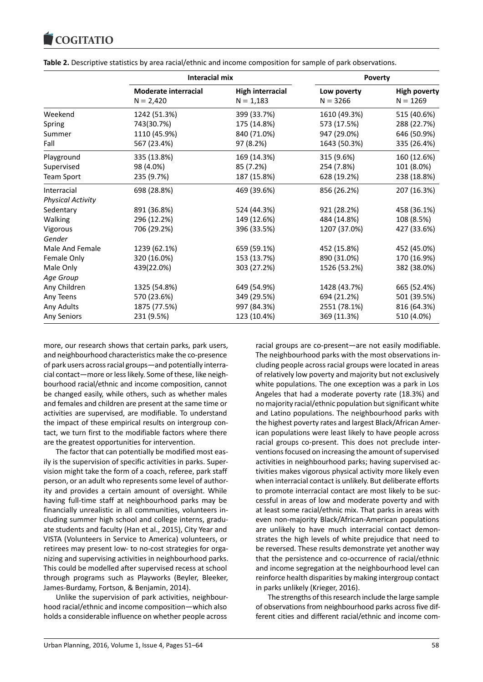|                          | <b>Interacial mix</b>                      |                                        | <b>Poverty</b>            |                                   |
|--------------------------|--------------------------------------------|----------------------------------------|---------------------------|-----------------------------------|
|                          | <b>Moderate interracial</b><br>$N = 2,420$ | <b>High interracial</b><br>$N = 1,183$ | Low poverty<br>$N = 3266$ | <b>High poverty</b><br>$N = 1269$ |
| Weekend                  | 1242 (51.3%)                               | 399 (33.7%)                            | 1610 (49.3%)              | 515 (40.6%)                       |
| Spring                   | 743(30.7%)                                 | 175 (14.8%)                            | 573 (17.5%)               | 288 (22.7%)                       |
| Summer                   | 1110 (45.9%)                               | 840 (71.0%)                            | 947 (29.0%)               | 646 (50.9%)                       |
| Fall                     | 567 (23.4%)                                | 97 (8.2%)                              | 1643 (50.3%)              | 335 (26.4%)                       |
| Playground               | 335 (13.8%)                                | 169 (14.3%)                            | 315 (9.6%)                | 160 (12.6%)                       |
| Supervised               | 98 (4.0%)                                  | 85 (7.2%)                              | 254 (7.8%)                | 101 (8.0%)                        |
| <b>Team Sport</b>        | 235 (9.7%)                                 | 187 (15.8%)                            | 628 (19.2%)               | 238 (18.8%)                       |
| Interracial              | 698 (28.8%)                                | 469 (39.6%)                            | 856 (26.2%)               | 207 (16.3%)                       |
| <b>Physical Activity</b> |                                            |                                        |                           |                                   |
| Sedentary                | 891 (36.8%)                                | 524 (44.3%)                            | 921 (28.2%)               | 458 (36.1%)                       |
| Walking                  | 296 (12.2%)                                | 149 (12.6%)                            | 484 (14.8%)               | 108 (8.5%)                        |
| Vigorous                 | 706 (29.2%)                                | 396 (33.5%)                            | 1207 (37.0%)              | 427 (33.6%)                       |
| Gender                   |                                            |                                        |                           |                                   |
| Male And Female          | 1239 (62.1%)                               | 659 (59.1%)                            | 452 (15.8%)               | 452 (45.0%)                       |
| Female Only              | 320 (16.0%)                                | 153 (13.7%)                            | 890 (31.0%)               | 170 (16.9%)                       |
| Male Only                | 439(22.0%)                                 | 303 (27.2%)                            | 1526 (53.2%)              | 382 (38.0%)                       |
| Age Group                |                                            |                                        |                           |                                   |
| Any Children             | 1325 (54.8%)                               | 649 (54.9%)                            | 1428 (43.7%)              | 665 (52.4%)                       |
| Any Teens                | 570 (23.6%)                                | 349 (29.5%)                            | 694 (21.2%)               | 501 (39.5%)                       |
| Any Adults               | 1875 (77.5%)                               | 997 (84.3%)                            | 2551 (78.1%)              | 816 (64.3%)                       |
| Any Seniors              | 231 (9.5%)                                 | 123 (10.4%)                            | 369 (11.3%)               | 510 (4.0%)                        |

**Table 2.** Descriptive statistics by area racial/ethnic and income composition for sample of park observations.

more, our research shows that certain parks, park users, and neighbourhood characteristics make the co-presence of park users across racial groups—and potentially interracial contact—more or less likely. Some of these, like neighbourhood racial/ethnic and income composition, cannot be changed easily, while others, such as whether males and females and children are present at the same time or activities are supervised, are modifiable. To understand the impact of these empirical results on intergroup contact, we turn first to the modifiable factors where there are the greatest opportunities for intervention.

The factor that can potentially be modified most easily is the supervision of specific activities in parks. Supervision might take the form of a coach, referee, park staff person, or an adult who represents some level of authority and provides a certain amount of oversight. While having full-time staff at neighbourhood parks may be financially unrealistic in all communities, volunteers including summer high school and college interns, graduate students and faculty (Han et al., 2015), City Year and VISTA (Volunteers in Service to America) volunteers, or retirees may present low- to no-cost strategies for organizing and supervising activities in neighbourhood parks. This could be modelled after supervised recess at school through programs such as Playworks (Beyler, Bleeker, James-Burdamy, Fortson, & Benjamin, 2014).

Unlike the supervision of park activities, neighbourhood racial/ethnic and income composition—which also holds a considerable influence on whether people across

racial groups are co-present—are not easily modifiable. The neighbourhood parks with the most observations including people across racial groups were located in areas of relatively low poverty and majority but not exclusively white populations. The one exception was a park in Los Angeles that had a moderate poverty rate (18.3%) and no majority racial/ethnic population but significant white and Latino populations. The neighbourhood parks with the highest poverty rates and largest Black/African American populations were least likely to have people across racial groups co-present. This does not preclude interventions focused on increasing the amount of supervised activities in neighbourhood parks; having supervised activities makes vigorous physical activity more likely even when interracial contact is unlikely. But deliberate efforts to promote interracial contact are most likely to be successful in areas of low and moderate poverty and with at least some racial/ethnic mix. That parks in areas with even non-majority Black/African-American populations are unlikely to have much interracial contact demonstrates the high levels of white prejudice that need to be reversed. These results demonstrate yet another way that the persistence and co-occurrence of racial/ethnic and income segregation at the neighbourhood level can reinforce health disparities by making intergroup contact in parks unlikely (Krieger, 2016).

The strengths of this research include the large sample of observations from neighbourhood parks across five different cities and different racial/ethnic and income com-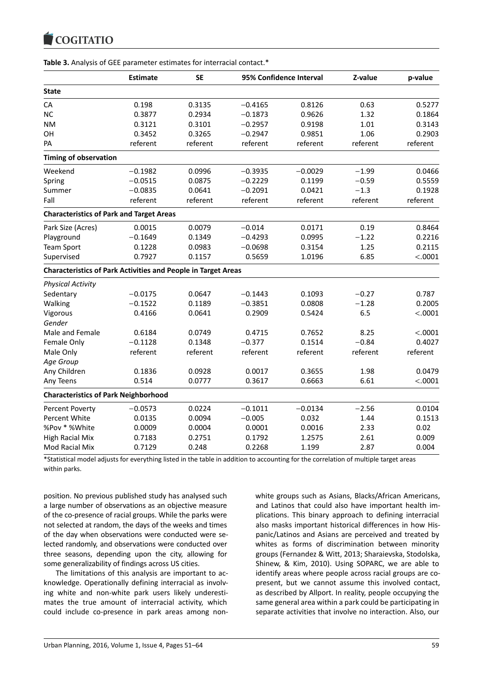|                                                                      | <b>Estimate</b> | <b>SE</b> | 95% Confidence Interval |           | Z-value  | p-value  |
|----------------------------------------------------------------------|-----------------|-----------|-------------------------|-----------|----------|----------|
| <b>State</b>                                                         |                 |           |                         |           |          |          |
| CA                                                                   | 0.198           | 0.3135    | $-0.4165$               | 0.8126    | 0.63     | 0.5277   |
| <b>NC</b>                                                            | 0.3877          | 0.2934    | $-0.1873$               | 0.9626    | 1.32     | 0.1864   |
| <b>NM</b>                                                            | 0.3121          | 0.3101    | $-0.2957$               | 0.9198    | 1.01     | 0.3143   |
| OH                                                                   | 0.3452          | 0.3265    | $-0.2947$               | 0.9851    | 1.06     | 0.2903   |
| PA                                                                   | referent        | referent  | referent                | referent  | referent | referent |
| <b>Timing of observation</b>                                         |                 |           |                         |           |          |          |
| Weekend                                                              | $-0.1982$       | 0.0996    | $-0.3935$               | $-0.0029$ | $-1.99$  | 0.0466   |
| Spring                                                               | $-0.0515$       | 0.0875    | $-0.2229$               | 0.1199    | $-0.59$  | 0.5559   |
| Summer                                                               | $-0.0835$       | 0.0641    | $-0.2091$               | 0.0421    | $-1.3$   | 0.1928   |
| Fall                                                                 | referent        | referent  | referent                | referent  | referent | referent |
| <b>Characteristics of Park and Target Areas</b>                      |                 |           |                         |           |          |          |
| Park Size (Acres)                                                    | 0.0015          | 0.0079    | $-0.014$                | 0.0171    | 0.19     | 0.8464   |
| Playground                                                           | $-0.1649$       | 0.1349    | $-0.4293$               | 0.0995    | $-1.22$  | 0.2216   |
| <b>Team Sport</b>                                                    | 0.1228          | 0.0983    | $-0.0698$               | 0.3154    | 1.25     | 0.2115   |
| Supervised                                                           | 0.7927          | 0.1157    | 0.5659                  | 1.0196    | 6.85     | < .0001  |
| <b>Characteristics of Park Activities and People in Target Areas</b> |                 |           |                         |           |          |          |
| <b>Physical Activity</b>                                             |                 |           |                         |           |          |          |
| Sedentary                                                            | $-0.0175$       | 0.0647    | $-0.1443$               | 0.1093    | $-0.27$  | 0.787    |
| Walking                                                              | $-0.1522$       | 0.1189    | $-0.3851$               | 0.0808    | $-1.28$  | 0.2005   |
| Vigorous                                                             | 0.4166          | 0.0641    | 0.2909                  | 0.5424    | 6.5      | < .0001  |
| Gender                                                               |                 |           |                         |           |          |          |
| Male and Female                                                      | 0.6184          | 0.0749    | 0.4715                  | 0.7652    | 8.25     | < .0001  |
| Female Only                                                          | $-0.1128$       | 0.1348    | $-0.377$                | 0.1514    | $-0.84$  | 0.4027   |
| Male Only                                                            | referent        | referent  | referent                | referent  | referent | referent |
| Age Group                                                            |                 |           |                         |           |          |          |
| Any Children                                                         | 0.1836          | 0.0928    | 0.0017                  | 0.3655    | 1.98     | 0.0479   |
| Any Teens                                                            | 0.514           | 0.0777    | 0.3617                  | 0.6663    | 6.61     | < .0001  |
| <b>Characteristics of Park Neighborhood</b>                          |                 |           |                         |           |          |          |
| <b>Percent Poverty</b>                                               | $-0.0573$       | 0.0224    | $-0.1011$               | $-0.0134$ | $-2.56$  | 0.0104   |
| <b>Percent White</b>                                                 | 0.0135          | 0.0094    | $-0.005$                | 0.032     | 1.44     | 0.1513   |
| %Pov * %White                                                        | 0.0009          | 0.0004    | 0.0001                  | 0.0016    | 2.33     | 0.02     |
| <b>High Racial Mix</b>                                               | 0.7183          | 0.2751    | 0.1792                  | 1.2575    | 2.61     | 0.009    |
| Mod Racial Mix                                                       | 0.7129          | 0.248     | 0.2268                  | 1.199     | 2.87     | 0.004    |

**Table 3.** Analysis of GEE parameter estimates for interracial contact.\*

\*Statistical model adjusts for everything listed in the table in addition to accounting for the correlation of multiple target areas within parks.

position. No previous published study has analysed such a large number of observations as an objective measure of the co-presence of racial groups. While the parks were not selected at random, the days of the weeks and times of the day when observations were conducted were selected randomly, and observations were conducted over three seasons, depending upon the city, allowing for some generalizability of findings across US cities.

The limitations of this analysis are important to acknowledge. Operationally defining interracial as involving white and non-white park users likely underestimates the true amount of interracial activity, which could include co-presence in park areas among nonwhite groups such as Asians, Blacks/African Americans, and Latinos that could also have important health implications. This binary approach to defining interracial also masks important historical differences in how Hispanic/Latinos and Asians are perceived and treated by whites as forms of discrimination between minority groups (Fernandez & Witt, 2013; Sharaievska, Stodolska, Shinew, & Kim, 2010). Using SOPARC, we are able to identify areas where people across racial groups are copresent, but we cannot assume this involved contact, as described by Allport. In reality, people occupying the same general area within a park could be participating in separate activities that involve no interaction. Also, our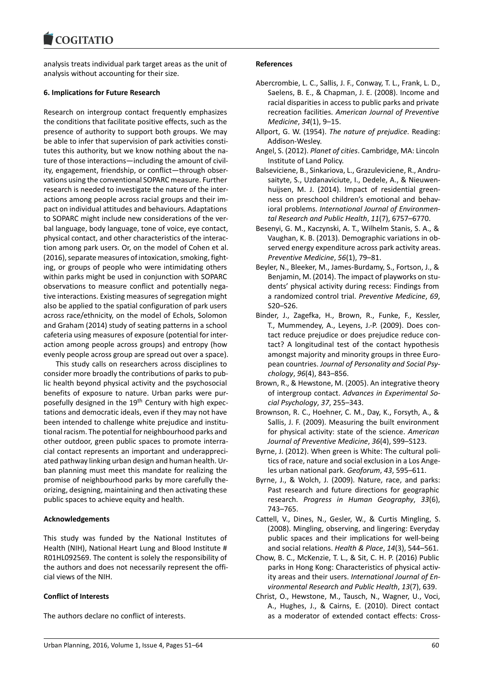analysis treats individual park target areas as the unit of analysis without accounting for their size.

#### **6. Implications for Future Research**

Research on intergroup contact frequently emphasizes the conditions that facilitate positive effects, such as the presence of authority to support both groups. We may be able to infer that supervision of park activities constitutes this authority, but we know nothing about the nature of those interactions—including the amount of civility, engagement, friendship, or conflict—through observations using the conventional SOPARC measure. Further research is needed to investigate the nature of the interactions among people across racial groups and their impact on individual attitudes and behaviours. Adaptations to SOPARC might include new considerations of the verbal language, body language, tone of voice, eye contact, physical contact, and other characteristics of the interaction among park users. Or, on the model of Cohen et al. (2016), separate measures of intoxication, smoking, fighting, or groups of people who were intimidating others within parks might be used in conjunction with SOPARC observations to measure conflict and potentially negative interactions. Existing measures of segregation might also be applied to the spatial configuration of park users across race/ethnicity, on the model of Echols, Solomon and Graham (2014) study of seating patterns in a school cafeteria using measures of exposure (potential for interaction among people across groups) and entropy (how evenly people across group are spread out over a space).

This study calls on researchers across disciplines to consider more broadly the contributions of parks to public health beyond physical activity and the psychosocial benefits of exposure to nature. Urban parks were purposefully designed in the 19<sup>th</sup> Century with high expectations and democratic ideals, even if they may not have been intended to challenge white prejudice and institutional racism. The potential for neighbourhood parks and other outdoor, green public spaces to promote interracial contact represents an important and underappreciated pathway linking urban design and human health. Urban planning must meet this mandate for realizing the promise of neighbourhood parks by more carefully theorizing, designing, maintaining and then activating these public spaces to achieve equity and health.

#### **Acknowledgements**

This study was funded by the National Institutes of Health (NIH), National Heart Lung and Blood Institute # R01HL092569. The content is solely the responsibility of the authors and does not necessarily represent the official views of the NIH.

# **Conflict of Interests**

The authors declare no conflict of interests.

#### **References**

- Abercrombie, L. C., Sallis, J. F., Conway, T. L., Frank, L. D., Saelens, B. E., & Chapman, J. E. (2008). Income and racial disparities in access to public parks and private recreation facilities. *American Journal of Preventive Medicine*, *34*(1), 9–15.
- Allport, G. W. (1954). *The nature of prejudice*. Reading: Addison-Wesley.
- Angel, S. (2012). *Planet of cities*. Cambridge, MA: Lincoln Institute of Land Policy.
- Balseviciene, B., Sinkariova, L., Grazuleviciene, R., Andrusaityte, S., Uzdanaviciute, I., Dedele, A., & Nieuwenhuijsen, M. J. (2014). Impact of residential greenness on preschool children's emotional and behavioral problems. *International Journal of Environmental Research and Public Health*, *11*(7), 6757–6770.
- Besenyi, G. M., Kaczynski, A. T., Wilhelm Stanis, S. A., & Vaughan, K. B. (2013). Demographic variations in observed energy expenditure across park activity areas. *Preventive Medicine*, *56*(1), 79–81.
- Beyler, N., Bleeker, M., James-Burdamy, S., Fortson, J., & Benjamin, M. (2014). The impact of playworks on students' physical activity during recess: Findings from a randomized control trial. *Preventive Medicine*, *69*, S20–S26.
- Binder, J., Zagefka, H., Brown, R., Funke, F., Kessler, T., Mummendey, A., Leyens, J.-P. (2009). Does contact reduce prejudice or does prejudice reduce contact? A longitudinal test of the contact hypothesis amongst majority and minority groups in three European countries. *Journal of Personality and Social Psychology*, *96*(4), 843–856.
- Brown, R., & Hewstone, M. (2005). An integrative theory of intergroup contact. *Advances in Experimental Social Psychology*, *37*, 255–343.
- Brownson, R. C., Hoehner, C. M., Day, K., Forsyth, A., & Sallis, J. F. (2009). Measuring the built environment for physical activity: state of the science. *American Journal of Preventive Medicine*, *36*(4), S99–S123.
- Byrne, J. (2012). When green is White: The cultural politics of race, nature and social exclusion in a Los Angeles urban national park. *Geoforum*, *43*, 595–611.
- Byrne, J., & Wolch, J. (2009). Nature, race, and parks: Past research and future directions for geographic research. *Progress in Human Geography*, *33*(6), 743–765.
- Cattell, V., Dines, N., Gesler, W., & Curtis Mingling, S. (2008). Mingling, observing, and lingering: Everyday public spaces and their implications for well-being and social relations. *Health & Place*, *14*(3), 544–561.
- Chow, B. C., McKenzie, T. L., & Sit, C. H. P. (2016) Public parks in Hong Kong: Characteristics of physical activity areas and their users. *International Journal of Environmental Research and Public Health*, *13*(7), 639.
- Christ, O., Hewstone, M., Tausch, N., Wagner, U., Voci, A., Hughes, J., & Cairns, E. (2010). Direct contact as a moderator of extended contact effects: Cross-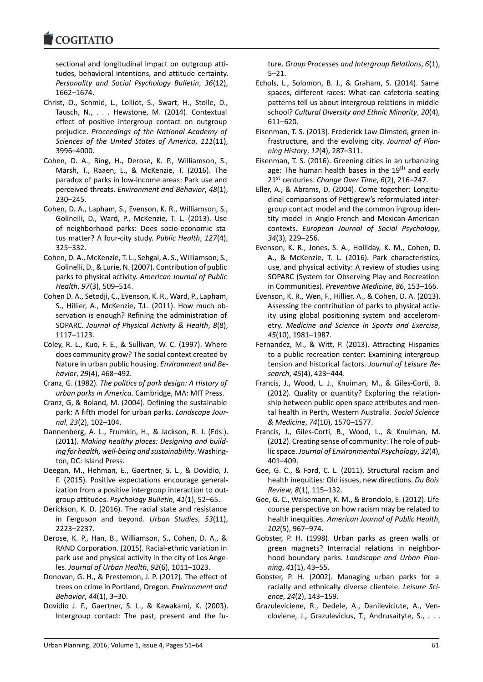sectional and longitudinal impact on outgroup attitudes, behavioral intentions, and attitude certainty. *Personality and Social Psychology Bulletin*, *36*(12), 1662–1674.

- Christ, O., Schmid, L., Lolliot, S., Swart, H., Stolle, D., Tausch, N., . . . Hewstone, M. (2014). Contextual effect of positive intergroup contact on outgroup prejudice. *Proceedings of the National Academy of Sciences of the United States of America*, *111*(11), 3996–4000.
- Cohen, D. A., Bing, H., Derose, K. P., Williamson, S., Marsh, T., Raaen, L., & McKenzie, T. (2016). The paradox of parks in low-income areas: Park use and perceived threats. *Environment and Behavior*, *48*(1), 230–245.
- Cohen, D. A., Lapham, S., Evenson, K. R., Williamson, S., Golinelli, D., Ward, P., McKenzie, T. L. (2013). Use of neighborhood parks: Does socio-economic status matter? A four-city study. *Public Health*, *127*(4), 325–332.
- Cohen, D. A., McKenzie, T. L., Sehgal, A. S., Williamson, S., Golinelli, D., & Lurie, N. (2007). Contribution of public parks to physical activity. *American Journal of Public Health*, *97*(3), 509–514.
- Cohen D. A., Setodji, C., Evenson, K. R., Ward, P., Lapham, S., Hillier, A., McKenzie, T.L. (2011). How much observation is enough? Refining the administration of SOPARC. *Journal of Physical Activity & Health*, *8*(8), 1117–1123.
- Coley, R. L., Kuo, F. E., & Sullivan, W. C. (1997). Where does community grow? The social context created by Nature in urban public housing. *Environment and Behavior*, *29*(4), 468–492.
- Cranz, G. (1982). *The politics of park design: A History of urban parks in America*. Cambridge, MA: MIT Press.
- Cranz, G, & Boland, M. (2004). Defining the sustainable park: A fifth model for urban parks. *Landscape Journal*, *23*(2), 102–104.
- Dannenberg, A. L., Frumkin, H., & Jackson, R. J. (Eds.). (2011). *Making healthy places: Designing and building for health, well-being and sustainability*. Washington, DC: Island Press.
- Deegan, M., Hehman, E., Gaertner, S. L., & Dovidio, J. F. (2015). Positive expectations encourage generalization from a positive intergroup interaction to outgroup attitudes. *Psychology Bulletin*, *41*(1), 52–65.
- Derickson, K. D. (2016). The racial state and resistance in Ferguson and beyond. *Urban Studies*, *53*(11), 2223–2237.
- Derose, K. P., Han, B., Williamson, S., Cohen, D. A., & RAND Corporation. (2015). Racial-ethnic variation in park use and physical activity in the city of Los Angeles. *Journal of Urban Health*, *92*(6), 1011–1023.
- Donovan, G. H., & Prestemon, J. P. (2012). The effect of trees on crime in Portland, Oregon. *Environment and Behavior*, *44*(1), 3–30.
- Dovidio J. F., Gaertner, S. L., & Kawakami, K. (2003). Intergroup contact: The past, present and the fu-

ture. *Group Processes and Intergroup Relations*, *6*(1), 5–21.

- Echols, L., Solomon, B. J., & Graham, S. (2014). Same spaces, different races: What can cafeteria seating patterns tell us about intergroup relations in middle school? *Cultural Diversity and Ethnic Minority*, *20*(4), 611–620.
- Eisenman, T. S. (2013). Frederick Law Olmsted, green infrastructure, and the evolving city. *Journal of Planning History*, *12*(4), 287–311.
- Eisenman, T. S. (2016). Greening cities in an urbanizing age: The human health bases in the  $19<sup>th</sup>$  and early 21st centuries. *Change Over Time*, *6*(2), 216–247.
- Eller, A., & Abrams, D. (2004). Come together: Longitudinal comparisons of Pettigrew's reformulated intergroup contact model and the common ingroup identity model in Anglo-French and Mexican-American contexts. *European Journal of Social Psychology*, *34*(3), 229–256.
- Evenson, K. R., Jones, S. A., Holliday, K. M., Cohen, D. A., & McKenzie, T. L. (2016). Park characteristics, use, and physical activity: A review of studies using SOPARC (System for Observing Play and Recreation in Communities). *Preventive Medicine*, *86*, 153–166.
- Evenson, K. R., Wen, F., Hillier, A., & Cohen, D. A. (2013). Assessing the contribution of parks to physical activity using global positioning system and accelerometry. *Medicine and Science in Sports and Exercise*, *45*(10), 1981–1987.
- Fernandez, M., & Witt, P. (2013). Attracting Hispanics to a public recreation center: Examining intergroup tension and historical factors. *Journal of Leisure Research*, *45*(4), 423–444.
- Francis, J., Wood, L. J., Knuiman, M., & Giles-Corti, B. (2012). Quality or quantity? Exploring the relationship between public open space attributes and mental health in Perth, Western Australia. *Social Science & Medicine*, *74*(10), 1570–1577.
- Francis, J., Giles-Corti, B., Wood, L., & Knuiman, M. (2012). Creating sense of community: The role of public space. *Journal of Environmental Psychology*, *32*(4), 401–409.
- Gee, G. C., & Ford, C. L. (2011). Structural racism and health inequities: Old issues, new directions. *Du Bois Review*, *8*(1), 115–132.
- Gee, G. C., Walsemann, K. M., & Brondolo, E. (2012). Life course perspective on how racism may be related to health inequities. *American Journal of Public Health*, *102*(5), 967–974.
- Gobster, P. H. (1998). Urban parks as green walls or green magnets? Interracial relations in neighborhood boundary parks. *Landscape and Urban Planning*, *41*(1), 43–55.
- Gobster, P. H. (2002). Managing urban parks for a racially and ethnically diverse clientele. *Leisure Science*, *24*(2), 143–159.
- Grazuleviciene, R., Dedele, A., Danileviciute, A., Vencloviene, J., Grazulevicius, T., Andrusaityte, S., . . .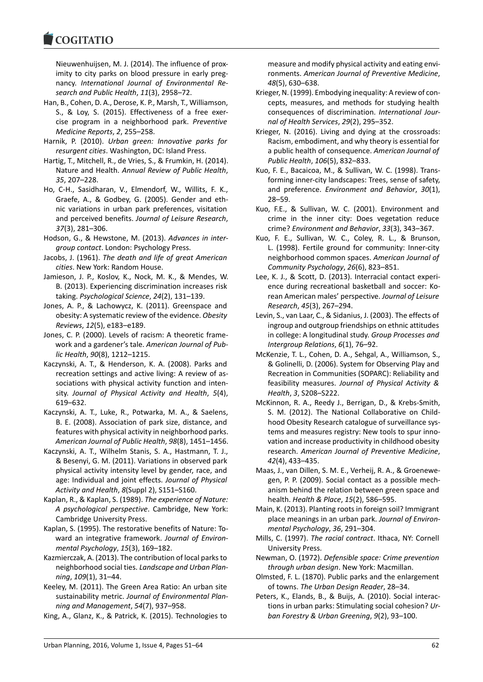

Nieuwenhuijsen, M. J. (2014). The influence of proximity to city parks on blood pressure in early pregnancy. *International Journal of Environmental Research and Public Health*, *11*(3), 2958–72.

- Han, B., Cohen, D. A., Derose, K. P., Marsh, T., Williamson, S., & Loy, S. (2015). Effectiveness of a free exercise program in a neighborhood park. *Preventive Medicine Reports*, *2*, 255–258.
- Harnik, P. (2010). *Urban green: Innovative parks for resurgent cities*. Washington, DC: Island Press.
- Hartig, T., Mitchell, R., de Vries, S., & Frumkin, H. (2014). Nature and Health. *Annual Review of Public Health*, *35*, 207–228.
- Ho, C-H., Sasidharan, V., Elmendorf, W., Willits, F. K., Graefe, A., & Godbey, G. (2005). Gender and ethnic variations in urban park preferences, visitation and perceived benefits. *Journal of Leisure Research*, *37*(3), 281–306.
- Hodson, G., & Hewstone, M. (2013). *Advances in intergroup contact*. London: Psychology Press.
- Jacobs, J. (1961). *The death and life of great American cities*. New York: Random House.
- Jamieson, J. P., Koslov, K., Nock, M. K., & Mendes, W. B. (2013). Experiencing discrimination increases risk taking. *Psychological Science*, *24*(2), 131–139.
- Jones, A. P., & Lachowycz, K. (2011). Greenspace and obesity: A systematic review of the evidence. *Obesity Reviews*, *12*(5), e183–e189.
- Jones, C. P. (2000). Levels of racism: A theoretic framework and a gardener's tale. *American Journal of Public Health*, *90*(8), 1212–1215.
- Kaczynski, A. T., & Henderson, K. A. (2008). Parks and recreation settings and active living: A review of associations with physical activity function and intensity. *Journal of Physical Activity and Health*, *5*(4), 619–632.
- Kaczynski, A. T., Luke, R., Potwarka, M. A., & Saelens, B. E. (2008). Association of park size, distance, and features with physical activity in neighborhood parks. *American Journal of Public Health*, *98*(8), 1451–1456.
- Kaczynski, A. T., Wilhelm Stanis, S. A., Hastmann, T. J., & Besenyi, G. M. (2011). Variations in observed park physical activity intensity level by gender, race, and age: Individual and joint effects. *Journal of Physical Activity and Health*, *8*(Suppl 2), S151–S160.
- Kaplan, R., & Kaplan, S. (1989). *The experience of Nature: A psychological perspective*. Cambridge, New York: Cambridge University Press.
- Kaplan, S. (1995). The restorative benefits of Nature: Toward an integrative framework. *Journal of Environmental Psychology*, *15*(3), 169–182.
- Kazmierczak, A. (2013). The contribution of local parks to neighborhood social ties. *Landscape and Urban Planning*, *109*(1), 31–44.
- Keeley, M. (2011). The Green Area Ratio: An urban site sustainability metric. *Journal of Environmental Planning and Management*, *54*(7), 937–958.
- King, A., Glanz, K., & Patrick, K. (2015). Technologies to

measure and modify physical activity and eating environments. *American Journal of Preventive Medicine*, *48*(5), 630–638.

- Krieger, N. (1999). Embodying inequality: A review of concepts, measures, and methods for studying health consequences of discrimination. *International Journal of Health Services*, *29*(2), 295–352.
- Krieger, N. (2016). Living and dying at the crossroads: Racism, embodiment, and why theory is essential for a public health of consequence. *American Journal of Public Health*, *106*(5), 832–833.
- Kuo, F. E., Bacaicoa, M., & Sullivan, W. C. (1998). Transforming inner-city landscapes: Trees, sense of safety, and preference. *Environment and Behavior*, *30*(1), 28–59.
- Kuo, F.E., & Sullivan, W. C. (2001). Environment and crime in the inner city: Does vegetation reduce crime? *Environment and Behavior*, *33*(3), 343–367.
- Kuo, F. E., Sullivan, W. C., Coley, R. L., & Brunson, L. (1998). Fertile ground for community: Inner-city neighborhood common spaces. *American Journal of Community Psychology*, *26*(6), 823–851.
- Lee, K. J., & Scott, D. (2013). Interracial contact experience during recreational basketball and soccer: Korean American males' perspective. *Journal of Leisure Research*, *45*(3), 267–294.
- Levin, S., van Laar, C., & Sidanius, J. (2003). The effects of ingroup and outgroup friendships on ethnic attitudes in college: A longitudinal study. *Group Processes and Intergroup Relations*, *6*(1), 76–92.
- McKenzie, T. L., Cohen, D. A., Sehgal, A., Williamson, S., & Golinelli, D. (2006). System for Observing Play and Recreation in Communities (SOPARC): Reliability and feasibility measures. *Journal of Physical Activity & Health*, *3*, S208–S222.
- McKinnon, R. A., Reedy J., Berrigan, D., & Krebs-Smith, S. M. (2012). The National Collaborative on Childhood Obesity Research catalogue of surveillance systems and measures registry: New tools to spur innovation and increase productivity in childhood obesity research. *American Journal of Preventive Medicine*, *42*(4), 433–435.
- Maas, J., van Dillen, S. M. E., Verheij, R. A., & Groenewegen, P. P. (2009). Social contact as a possible mechanism behind the relation between green space and health. *Health & Place*, *15*(2), 586–595.
- Main, K. (2013). Planting roots in foreign soil? Immigrant place meanings in an urban park. *Journal of Environmental Psychology*, *36*, 291–304.
- Mills, C. (1997). *The racial contract*. Ithaca, NY: Cornell University Press.
- Newman, O. (1972). *Defensible space: Crime prevention through urban design*. New York: Macmillan.
- Olmsted, F. L. (1870). Public parks and the enlargement of towns. *The Urban Design Reader*, 28–34.
- Peters, K., Elands, B., & Buijs, A. (2010). Social interactions in urban parks: Stimulating social cohesion? *Urban Forestry & Urban Greening*, *9*(2), 93–100.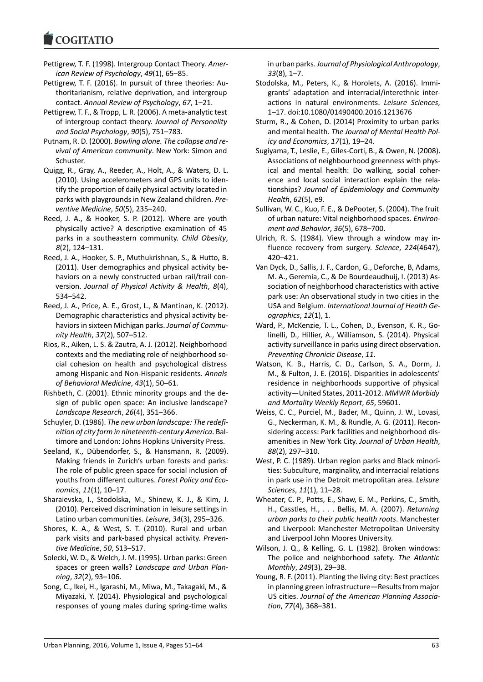- Pettigrew, T. F. (1998). Intergroup Contact Theory. *American Review of Psychology*, *49*(1), 65–85.
- Pettigrew, T. F. (2016). In pursuit of three theories: Authoritarianism, relative deprivation, and intergroup contact. *Annual Review of Psychology*, *67*, 1–21.
- Pettigrew, T. F., & Tropp, L. R. (2006). A meta-analytic test of intergroup contact theory. *Journal of Personality and Social Psychology*, *90*(5), 751–783.
- Putnam, R. D. (2000). *Bowling alone. The collapse and revival of American community*. New York: Simon and Schuster.
- Quigg, R., Gray, A., Reeder, A., Holt, A., & Waters, D. L. (2010). Using accelerometers and GPS units to identify the proportion of daily physical activity located in parks with playgrounds in New Zealand children. *Preventive Medicine*, *50*(5), 235–240.
- Reed, J. A., & Hooker, S. P. (2012). Where are youth physically active? A descriptive examination of 45 parks in a southeastern community. *Child Obesity*, *8*(2), 124–131.
- Reed, J. A., Hooker, S. P., Muthukrishnan, S., & Hutto, B. (2011). User demographics and physical activity behaviors on a newly constructed urban rail/trail conversion. *Journal of Physical Activity & Health*, *8*(4), 534–542.
- Reed, J. A., Price, A. E., Grost, L., & Mantinan, K. (2012). Demographic characteristics and physical activity behaviors in sixteen Michigan parks. *Journal of Community Health*, *37*(2), 507–512.
- Rios, R., Aiken, L. S. & Zautra, A. J. (2012). Neighborhood contexts and the mediating role of neighborhood social cohesion on health and psychological distress among Hispanic and Non-Hispanic residents. *Annals of Behavioral Medicine*, *43*(1), 50–61.
- Rishbeth, C. (2001). Ethnic minority groups and the design of public open space: An inclusive landscape? *Landscape Research*, *26*(4), 351–366.
- Schuyler, D. (1986). *The new urban landscape: The redefinition of city form in nineteenth-century America*. Baltimore and London: Johns Hopkins University Press.
- Seeland, K., Dübendorfer, S., & Hansmann, R. (2009). Making friends in Zurich's urban forests and parks: The role of public green space for social inclusion of youths from different cultures. *Forest Policy and Economics*, *11*(1), 10–17.
- Sharaievska, I., Stodolska, M., Shinew, K. J., & Kim, J. (2010). Perceived discrimination in leisure settings in Latino urban communities. *Leisure*, *34*(3), 295–326.
- Shores, K. A., & West, S. T. (2010). Rural and urban park visits and park-based physical activity. *Preventive Medicine*, *50*, S13–S17.
- Solecki, W. D., & Welch, J. M. (1995). Urban parks: Green spaces or green walls? *Landscape and Urban Planning*, *32*(2), 93–106.
- Song, C., Ikei, H., Igarashi, M., Miwa, M., Takagaki, M., & Miyazaki, Y. (2014). Physiological and psychological responses of young males during spring-time walks

in urban parks. *Journal of Physiological Anthropology*, *33*(8), 1–7.

- Stodolska, M., Peters, K., & Horolets, A. (2016). Immigrants' adaptation and interracial/interethnic interactions in natural environments. *Leisure Sciences*, 1–17. doi:10.1080/01490400.2016.1213676
- Sturm, R., & Cohen, D. (2014) Proximity to urban parks and mental health. *The Journal of Mental Health Policy and Economics*, *17*(1), 19–24.
- Sugiyama, T., Leslie, E., Giles-Corti, B., & Owen, N. (2008). Associations of neighbourhood greenness with physical and mental health: Do walking, social coherence and local social interaction explain the relationships? *Journal of Epidemiology and Community Health*, *62*(5), e9.
- Sullivan, W. C., Kuo, F. E., & DePooter, S. (2004). The fruit of urban nature: Vital neighborhood spaces. *Environment and Behavior*, *36*(5), 678–700.
- Ulrich, R. S. (1984). View through a window may influence recovery from surgery. *Science*, *224*(4647), 420–421.
- Van Dyck, D., Sallis, J. F., Cardon, G., Deforche, B, Adams, M. A., Geremia, C., & De Bourdeaudhuij, I. (2013) Association of neighborhood characteristics with active park use: An observational study in two cities in the USA and Belgium. *International Journal of Health Geographics*, *12*(1), 1.
- Ward, P., McKenzie, T. L., Cohen, D., Evenson, K. R., Golinelli, D., Hillier, A., Williamson, S. (2014). Physical activity surveillance in parks using direct observation. *Preventing Chronicic Disease*, *11*.
- Watson, K. B., Harris, C. D., Carlson, S. A., Dorm, J. M., & Fulton, J. E. (2016). Disparities in adolescents' residence in neighborhoods supportive of physical activity—United States, 2011-2012. *MMWR Morbidy and Mortality Weekly Report*, *65*, 59601.
- Weiss, C. C., Purciel, M., Bader, M., Quinn, J. W., Lovasi, G., Neckerman, K. M., & Rundle, A. G. (2011). Reconsidering access: Park facilities and neighborhood disamenities in New York City. *Journal of Urban Health*, *88*(2), 297–310.
- West, P. C. (1989). Urban region parks and Black minorities: Subculture, marginality, and interracial relations in park use in the Detroit metropolitan area. *Leisure Sciences*, *11*(1), 11–28.
- Wheater, C. P., Potts, E., Shaw, E. M., Perkins, C., Smith, H., Casstles, H., . . . Bellis, M. A. (2007). *Returning urban parks to their public health roots*. Manchester and Liverpool: Manchester Metropolitan University and Liverpool John Moores University.
- Wilson, J. Q., & Kelling, G. L. (1982). Broken windows: The police and neighborhood safety. *The Atlantic Monthly*, *249*(3), 29–38.
- Young, R. F. (2011). Planting the living city: Best practices in planning green infrastructure—Results from major US cities. *Journal of the American Planning Association*, *77*(4), 368–381.